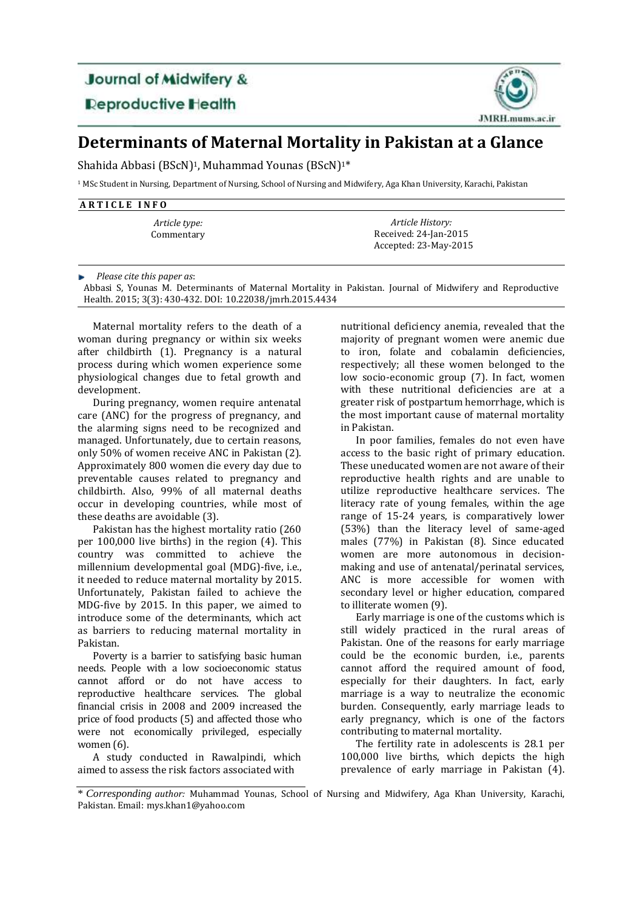## **Journal of Midwifery &**

**Reproductive Health** 



## **Determinants of Maternal Mortality in Pakistan at a Glance**

Shahida Abbasi (BScN)<sup>1</sup>, Muhammad Younas (BScN)<sup>1\*</sup>

<sup>1</sup> MSc Student in Nursing, Department of Nursing, School of Nursing and Midwifery, Aga Khan University, Karachi, Pakistan

| ARTICLE INFO                |                                                                    |  |
|-----------------------------|--------------------------------------------------------------------|--|
| Article type:<br>Commentary | Article History:<br>Received: 24-Jan-2015<br>Accepted: 23-May-2015 |  |
|                             |                                                                    |  |

*Please cite this paper as*:

Abbasi S, Younas M. Determinants of Maternal Mortality in Pakistan. Journal of Midwifery and Reproductive Health. 2015; 3(3): 430-432. DOI: 10.22038/jmrh.2015.4434

Maternal mortality refers to the death of a woman during pregnancy or within six weeks after childbirth (1). Pregnancy is a natural process during which women experience some physiological changes due to fetal growth and development.

During pregnancy, women require antenatal care (ANC) for the progress of pregnancy, and the alarming signs need to be recognized and managed. Unfortunately, due to certain reasons, only 50% of women receive ANC in Pakistan (2). Approximately 800 women die every day due to preventable causes related to pregnancy and childbirth. Also, 99% of all maternal deaths occur in developing countries, while most of these deaths are avoidable (3).

Pakistan has the highest mortality ratio (260 per 100,000 live births) in the region (4). This country was committed to achieve the millennium developmental goal (MDG)-five, i.e., it needed to reduce maternal mortality by 2015. Unfortunately, Pakistan failed to achieve the MDG-five by 2015. In this paper, we aimed to introduce some of the determinants, which act as barriers to reducing maternal mortality in Pakistan.

Poverty is a barrier to satisfying basic human needs. People with a low socioeconomic status cannot afford or do not have access to reproductive healthcare services. The global financial crisis in 2008 and 2009 increased the price of food products (5) and affected those who were not economically privileged, especially women (6).

A study conducted in Rawalpindi, which aimed to assess the risk factors associated with

nutritional deficiency anemia, revealed that the majority of pregnant women were anemic due to iron, folate and cobalamin deficiencies, respectively; all these women belonged to the low socio-economic group (7). In fact, women with these nutritional deficiencies are at a greater risk of postpartum hemorrhage, which is the most important cause of maternal mortality in Pakistan.

In poor families, females do not even have access to the basic right of primary education. These uneducated women are not aware of their reproductive health rights and are unable to utilize reproductive healthcare services. The literacy rate of young females, within the age range of 15-24 years, is comparatively lower (53%) than the literacy level of same-aged males (77%) in Pakistan (8). Since educated women are more autonomous in decisionmaking and use of antenatal/perinatal services, ANC is more accessible for women with secondary level or higher education, compared to illiterate women (9).

Early marriage is one of the customs which is still widely practiced in the rural areas of Pakistan. One of the reasons for early marriage could be the economic burden, i.e., parents cannot afford the required amount of food, especially for their daughters. In fact, early marriage is a way to neutralize the economic burden. Consequently, early marriage leads to early pregnancy, which is one of the factors contributing to maternal mortality.

The fertility rate in adolescents is 28.1 per 100,000 live births, which depicts the high prevalence of early marriage in Pakistan (4).

<sup>\*</sup> *Corresponding author:* Muhammad Younas, School of Nursing and Midwifery, Aga Khan University, Karachi, Pakistan. Email: mys.khan1@yahoo.com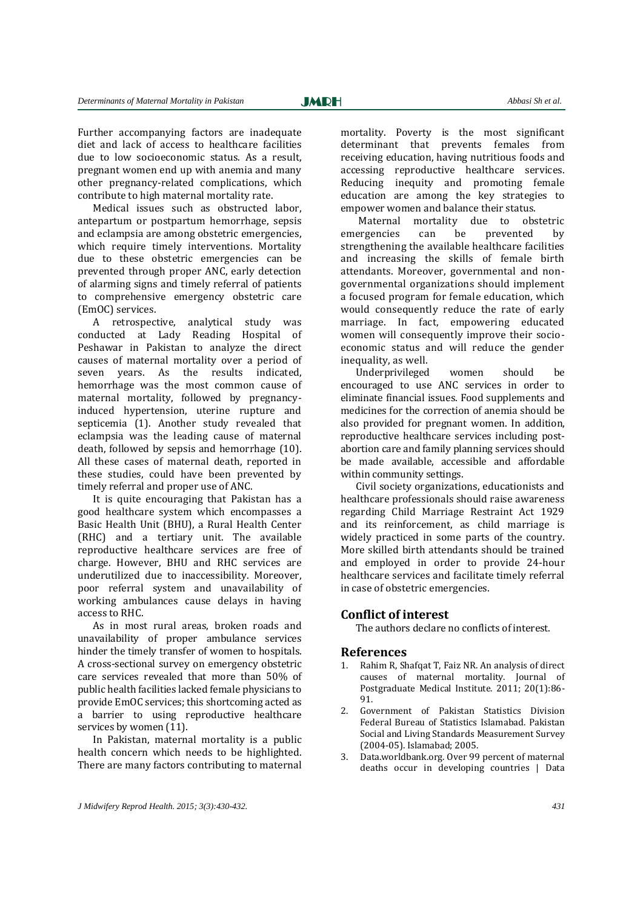Further accompanying factors are inadequate diet and lack of access to healthcare facilities due to low socioeconomic status. As a result, pregnant women end up with anemia and many other pregnancy-related complications, which contribute to high maternal mortality rate.

Medical issues such as obstructed labor, antepartum or postpartum hemorrhage, sepsis and eclampsia are among obstetric emergencies, which require timely interventions. Mortality due to these obstetric emergencies can be prevented through proper ANC, early detection of alarming signs and timely referral of patients to comprehensive emergency obstetric care (EmOC) services.

A retrospective, analytical study was conducted at Lady Reading Hospital of Peshawar in Pakistan to analyze the direct causes of maternal mortality over a period of seven years. As the results indicated, hemorrhage was the most common cause of maternal mortality, followed by pregnancyinduced hypertension, uterine rupture and septicemia (1). Another study revealed that eclampsia was the leading cause of maternal death, followed by sepsis and hemorrhage (10). All these cases of maternal death, reported in these studies, could have been prevented by timely referral and proper use of ANC.

It is quite encouraging that Pakistan has a good healthcare system which encompasses a Basic Health Unit (BHU), a Rural Health Center (RHC) and a tertiary unit. The available reproductive healthcare services are free of charge. However, BHU and RHC services are underutilized due to inaccessibility. Moreover, poor referral system and unavailability of working ambulances cause delays in having access to RHC.

As in most rural areas, broken roads and unavailability of proper ambulance services hinder the timely transfer of women to hospitals. A cross-sectional survey on emergency obstetric care services revealed that more than 50% of public health facilities lacked female physicians to provide EmOC services; this shortcoming acted as a barrier to using reproductive healthcare services by women (11).

In Pakistan, maternal mortality is a public health concern which needs to be highlighted. There are many factors contributing to maternal mortality. Poverty is the most significant determinant that prevents females from receiving education, having nutritious foods and accessing reproductive healthcare services. Reducing inequity and promoting female education are among the key strategies to empower women and balance their status.

Maternal mortality due to obstetric emergencies can be prevented by strengthening the available healthcare facilities and increasing the skills of female birth attendants. Moreover, governmental and nongovernmental organizations should implement a focused program for female education, which would consequently reduce the rate of early marriage. In fact, empowering educated women will consequently improve their socioeconomic status and will reduce the gender inequality, as well.

Underprivileged women should be encouraged to use ANC services in order to eliminate financial issues. Food supplements and medicines for the correction of anemia should be also provided for pregnant women. In addition, reproductive healthcare services including postabortion care and family planning services should be made available, accessible and affordable within community settings.

Civil society organizations, educationists and healthcare professionals should raise awareness regarding Child Marriage Restraint Act 1929 and its reinforcement, as child marriage is widely practiced in some parts of the country. More skilled birth attendants should be trained and employed in order to provide 24-hour healthcare services and facilitate timely referral in case of obstetric emergencies.

## **Conflict of interest**

The authors declare no conflicts of interest.

## **References**

- 1. Rahim R, Shafqat T, Faiz NR. An analysis of direct causes of maternal mortality. Journal of Postgraduate Medical Institute. 2011; 20(1):86- 91.
- 2. Government of Pakistan Statistics Division Federal Bureau of Statistics Islamabad. Pakistan Social and Living Standards Measurement Survey (2004-05). Islamabad; 2005.
- 3. Data.worldbank.org. Over 99 percent of maternal deaths occur in developing countries | Data